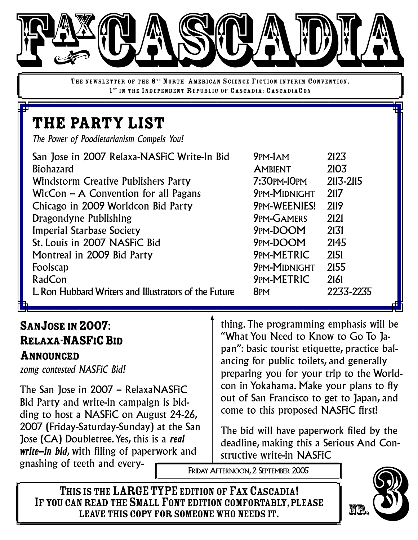

THE NEWSLETTER OF THE 8<sup>TH</sup> NORTH AMERICAN SCIENCE FICTION INTERIM CONVENTION, 1<sup>ST</sup> IN THE INDEPENDENT REPUBLIC OF CASCADIA: CASCADIACON

# the party list

*The Power of Poodletarianism Compels You!*

| San Jose in 2007 Relaxa-NASFiC Write-In Bid           | 9PM-JAM             | 2123      |
|-------------------------------------------------------|---------------------|-----------|
| <b>Biohazard</b>                                      | <b>AMBIENT</b>      | 2103      |
| <b>Windstorm Creative Publishers Party</b>            | 7:30PM-10PM         | 2113-2115 |
| WicCon $-$ A Convention for all Pagans                | <b>9PM-MIDNIGHT</b> | 2117      |
| Chicago in 2009 Worldcon Bid Party                    | <b>9PM-WEENIES!</b> | 2119      |
| Dragondyne Publishing                                 | <b>9PM-GAMERS</b>   | 2121      |
| <b>Imperial Starbase Society</b>                      | 9PM-DOOM            | 2131      |
| St. Louis in 2007 NASFIC Bid                          | 9PM-DOOM            | 2145      |
| Montreal in 2009 Bid Party                            | <b>9PM-METRIC</b>   | 2151      |
| Foolscap                                              | <b>9PM-MIDNIGHT</b> | 2155      |
| RadCon                                                | <b>9PM-METRIC</b>   | 2161      |
| L. Ron Hubbard Writers and Illustrators of the Future | 8PM                 | 2233-2235 |

## SANJOSE IN 2007: RELAXA-NASFIC BID

#### ANNOUNCED

*zomg contested NASFiC Bid!*

The San Jose in 2007 – RelaxaNASFiC Bid Party and write-in campaign is bidding to host a NASFiC on August 24-26, 2007 (Friday-Saturday-Sunday) at the San Jose (CA) Doubletree.Yes, this is a *real write-in bid*, with filing of paperwork and gnashing of teeth and every-

thing.The programming emphasis will be "What You Need to Know to Go To Japan": basic tourist etiquette, practice balancing for public toilets, and generally preparing you for your trip to the Worldcon in Yokahama. Make your plans to fly out of San Francisco to get to Japan, and come to this proposed NASFiC first!

The bid will have paperwork filed by the deadline, making this a Serious And Constructive write-in NASFiC

FRIDAY AFTERNOON,2 SEPTEMBER 2005

THIS IS THE LARGE TYPE EDITION OF FAX CASCADIA! IF YOU CAN READ THE SMALL FONT EDITION COMFORTABLY, PLEASE<br>LEAVE THIS COPY FOR SOMEONE WHO NEEDS IT. EREN AND AND SEPTEMBER 2005<br>
SIS THE LARGE TYPE EDITION OF FAX CASCADIA!<br>
LEAVE THIS COPY FOR SOMEONE WHO NEEDS IT.

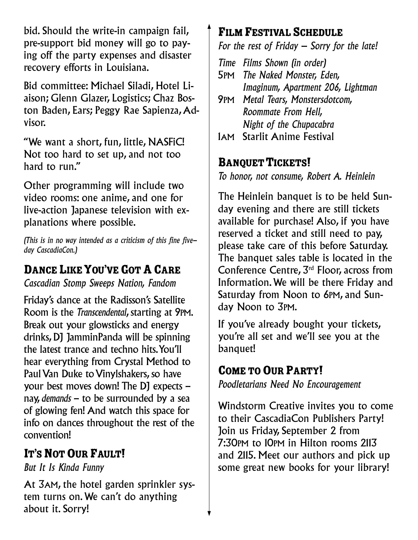bid. Should the write-in campaign fail, pre-support bid money will go to paying off the party expenses and disaster recovery efforts in Louisiana.

Bid committee: Michael Siladi, Hotel Liaison; Glenn Glazer, Logistics; Chaz Boston Baden, Ears; Peggy Rae Sapienza, Advisor.

"We want a short, fun, little, NASFiC! Not too hard to set up, and not too hard to run."

Other programming will include two video rooms: one anime, and one for live-action Japanese television with explanations where possible.

*(This is in no way intended as a criticism of this fine fiveday CascadiaCon.)*

### DANCE LIKE YOU'VE GOT A CARE

*Cascadian Stomp Sweeps Nation, Fandom*

Friday's dance at the Radisson's Satellite Room is the *Transcendental*, starting at 9PM. Break out your glowsticks and energy drinks, DJ JamminPanda will be spinning the latest trance and techno hits.You'll hear everything from Crystal Method to Paul Van Duke to Vinylshakers, so have your best moves down! The DJ expects – nay, *demands* – to be surrounded by a sea of glowing fen! And watch this space for info on dances throughout the rest of the convention!

### IT'S NOT OUR FAULT!

*But It Is Kinda Funny*

At 3AM, the hotel garden sprinkler system turns on.We can't do anything about it. Sorry!

### FILM FESTIVAL SCHEDULE

*For the rest of Friday – Sorry for the late!*

*Time Films Shown (in order)* 5PM *The Naked Monster, Eden, Imaginum, Apartment 206, Lightman*

9PM *Metal Tears, Monstersdotcom, Roommate From Hell, Night of the Chupacabra*

1AM Starlit Anime Festival

#### **BANQUET TICKETS!**

*To honor, not consume, Robert A. Heinlein*

The Heinlein banquet is to be held Sunday evening and there are still tickets available for purchase! Also, if you have reserved a ticket and still need to pay, please take care of this before Saturday. The banquet sales table is located in the Conference Centre, 3<sup>rd</sup> Floor, across from Information.We will be there Friday and Saturday from Noon to 6PM, and Sunday Noon to 3PM.

If you've already bought your tickets, you're all set and we'll see you at the banquet!

### COME TO OUR PARTY!

*Poodletarians Need No Encouragement*

Windstorm Creative invites you to come to their CascadiaCon Publishers Party! Join us Friday, September 2 from 7:30PM to 10PM in Hilton rooms 2113 and 2115. Meet our authors and pick up some great new books for your library!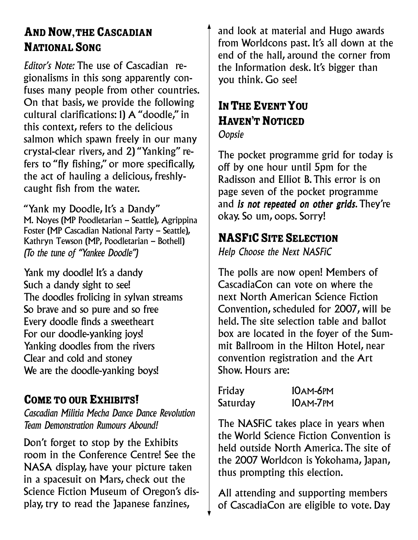### AND NOW, THE CASCADIAN NATIONAL SONG

*Editor's Note:* The use of Cascadian regionalisms in this song apparently confuses many people from other countries. On that basis, we provide the following cultural clarifications: 1) A "doodle," in this context, refers to the delicious salmon which spawn freely in our many crystal-clear rivers, and 2) "Yanking" refers to "fly fishing," or more specifically, the act of hauling a delicious, freshlycaught fish from the water.

"Yank my Doodle, It's a Dandy" M. Noyes (MP Poodletarian – Seattle), Agrippina Foster (MP Cascadian National Party – Seattle), Kathryn Tewson (MP, Poodletarian – Bothell) *(To the tune of "Yankee Doodle")*

Yank my doodle! It's a dandy Such a dandy sight to see! The doodles frolicing in sylvan streams So brave and so pure and so free Every doodle finds a sweetheart For our doodle-yanking joys! Yanking doodles from the rivers Clear and cold and stoney We are the doodle-yanking boys!

### COME TO OUR EXHIBITS!

*Cascadian Militia Mecha Dance Dance Revolution Team Demonstration Rumours Abound!*

Don't forget to stop by the Exhibits room in the Conference Centre! See the NASA display, have your picture taken in a spacesuit on Mars, check out the Science Fiction Museum of Oregon's display, try to read the Japanese fanzines,

and look at material and Hugo awards from Worldcons past. It's all down at the end of the hall, around the corner from the Information desk. It's bigger than you think. Go see!

## IN THE EVENT YOU HAVEN'T NOTICED

*Oopsie*

The pocket programme grid for today is off by one hour until 5pm for the Radisson and Elliot B.This error is on page seven of the pocket programme and *is not repeated on other grids*.They're okay. So um, oops. Sorry!

### **NASFIC SITE SELECTION**

*Help Choose the Next NASFiC*

The polls are now open! Members of CascadiaCon can vote on where the next North American Science Fiction Convention, scheduled for 2007, will be held.The site selection table and ballot box are located in the foyer of the Summit Ballroom in the Hilton Hotel, near convention registration and the Art Show. Hours are:

| Friday   | <b>10AM-6PM</b> |
|----------|-----------------|
| Saturday | 10AM-7PM        |

The NASFiC takes place in years when the World Science Fiction Convention is held outside North America.The site of the 2007 Worldcon is Yokohama, Japan, thus prompting this election.

All attending and supporting members of CascadiaCon are eligible to vote. Day